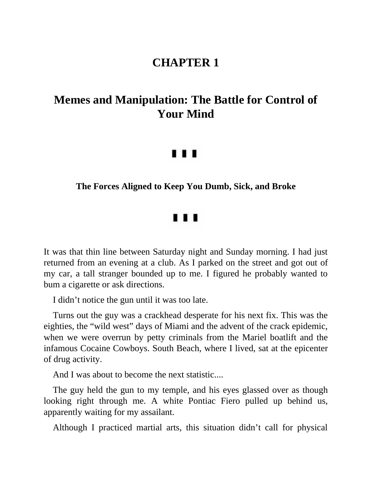#### **CHAPTER 1**

# **Memes and Manipulation: The Battle for Control of Your Mind**

## . . .

#### **The Forces Aligned to Keep You Dumb, Sick, and Broke**

## . . .

It was that thin line between Saturday night and Sunday morning. I had just returned from an evening at a club. As I parked on the street and got out of my car, a tall stranger bounded up to me. I figured he probably wanted to bum a cigarette or ask directions.

I didn't notice the gun until it was too late.

Turns out the guy was a crackhead desperate for his next fix. This was the eighties, the "wild west" days of Miami and the advent of the crack epidemic, when we were overrun by petty criminals from the Mariel boatlift and the infamous Cocaine Cowboys. South Beach, where I lived, sat at the epicenter of drug activity.

And I was about to become the next statistic....

The guy held the gun to my temple, and his eyes glassed over as though looking right through me. A white Pontiac Fiero pulled up behind us, apparently waiting for my assailant.

Although I practiced martial arts, this situation didn't call for physical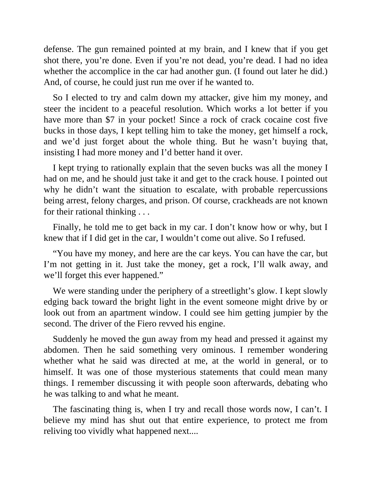defense. The gun remained pointed at my brain, and I knew that if you get shot there, you're done. Even if you're not dead, you're dead. I had no idea whether the accomplice in the car had another gun. (I found out later he did.) And, of course, he could just run me over if he wanted to.

So I elected to try and calm down my attacker, give him my money, and steer the incident to a peaceful resolution. Which works a lot better if you have more than \$7 in your pocket! Since a rock of crack cocaine cost five bucks in those days, I kept telling him to take the money, get himself a rock, and we'd just forget about the whole thing. But he wasn't buying that, insisting I had more money and I'd better hand it over.

I kept trying to rationally explain that the seven bucks was all the money I had on me, and he should just take it and get to the crack house. I pointed out why he didn't want the situation to escalate, with probable repercussions being arrest, felony charges, and prison. Of course, crackheads are not known for their rational thinking . . .

Finally, he told me to get back in my car. I don't know how or why, but I knew that if I did get in the car, I wouldn't come out alive. So I refused.

"You have my money, and here are the car keys. You can have the car, but I'm not getting in it. Just take the money, get a rock, I'll walk away, and we'll forget this ever happened."

We were standing under the periphery of a streetlight's glow. I kept slowly edging back toward the bright light in the event someone might drive by or look out from an apartment window. I could see him getting jumpier by the second. The driver of the Fiero revved his engine.

Suddenly he moved the gun away from my head and pressed it against my abdomen. Then he said something very ominous. I remember wondering whether what he said was directed at me, at the world in general, or to himself. It was one of those mysterious statements that could mean many things. I remember discussing it with people soon afterwards, debating who he was talking to and what he meant.

The fascinating thing is, when I try and recall those words now, I can't. I believe my mind has shut out that entire experience, to protect me from reliving too vividly what happened next....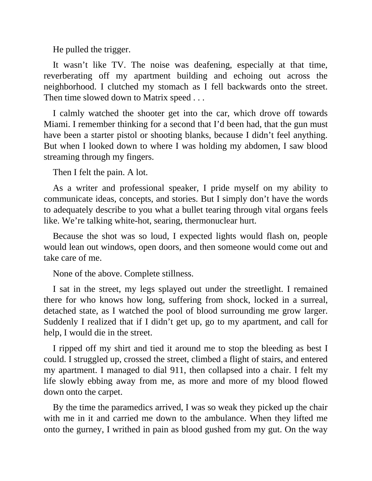He pulled the trigger.

It wasn't like TV. The noise was deafening, especially at that time, reverberating off my apartment building and echoing out across the neighborhood. I clutched my stomach as I fell backwards onto the street. Then time slowed down to Matrix speed . . .

I calmly watched the shooter get into the car, which drove off towards Miami. I remember thinking for a second that I'd been had, that the gun must have been a starter pistol or shooting blanks, because I didn't feel anything. But when I looked down to where I was holding my abdomen, I saw blood streaming through my fingers.

Then I felt the pain. A lot.

As a writer and professional speaker, I pride myself on my ability to communicate ideas, concepts, and stories. But I simply don't have the words to adequately describe to you what a bullet tearing through vital organs feels like. We're talking white-hot, searing, thermonuclear hurt.

Because the shot was so loud, I expected lights would flash on, people would lean out windows, open doors, and then someone would come out and take care of me.

None of the above. Complete stillness.

I sat in the street, my legs splayed out under the streetlight. I remained there for who knows how long, suffering from shock, locked in a surreal, detached state, as I watched the pool of blood surrounding me grow larger. Suddenly I realized that if I didn't get up, go to my apartment, and call for help, I would die in the street.

I ripped off my shirt and tied it around me to stop the bleeding as best I could. I struggled up, crossed the street, climbed a flight of stairs, and entered my apartment. I managed to dial 911, then collapsed into a chair. I felt my life slowly ebbing away from me, as more and more of my blood flowed down onto the carpet.

By the time the paramedics arrived, I was so weak they picked up the chair with me in it and carried me down to the ambulance. When they lifted me onto the gurney, I writhed in pain as blood gushed from my gut. On the way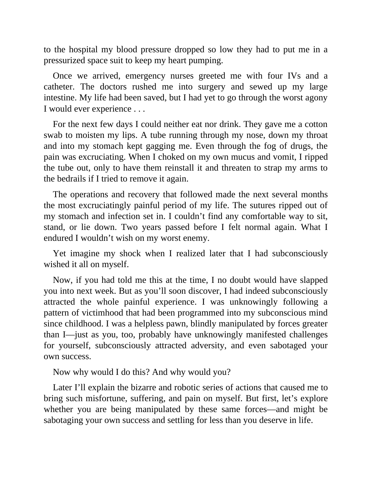to the hospital my blood pressure dropped so low they had to put me in a pressurized space suit to keep my heart pumping.

Once we arrived, emergency nurses greeted me with four IVs and a catheter. The doctors rushed me into surgery and sewed up my large intestine. My life had been saved, but I had yet to go through the worst agony I would ever experience . . .

For the next few days I could neither eat nor drink. They gave me a cotton swab to moisten my lips. A tube running through my nose, down my throat and into my stomach kept gagging me. Even through the fog of drugs, the pain was excruciating. When I choked on my own mucus and vomit, I ripped the tube out, only to have them reinstall it and threaten to strap my arms to the bedrails if I tried to remove it again.

The operations and recovery that followed made the next several months the most excruciatingly painful period of my life. The sutures ripped out of my stomach and infection set in. I couldn't find any comfortable way to sit, stand, or lie down. Two years passed before I felt normal again. What I endured I wouldn't wish on my worst enemy.

Yet imagine my shock when I realized later that I had subconsciously wished it all on myself.

Now, if you had told me this at the time, I no doubt would have slapped you into next week. But as you'll soon discover, I had indeed subconsciously attracted the whole painful experience. I was unknowingly following a pattern of victimhood that had been programmed into my subconscious mind since childhood. I was a helpless pawn, blindly manipulated by forces greater than I—just as you, too, probably have unknowingly manifested challenges for yourself, subconsciously attracted adversity, and even sabotaged your own success.

Now why would I do this? And why would you?

Later I'll explain the bizarre and robotic series of actions that caused me to bring such misfortune, suffering, and pain on myself. But first, let's explore whether you are being manipulated by these same forces—and might be sabotaging your own success and settling for less than you deserve in life.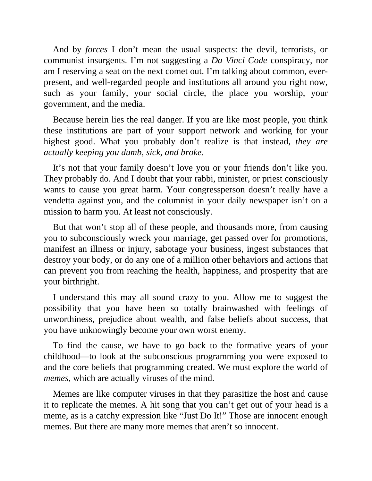And by *forces* I don't mean the usual suspects: the devil, terrorists, or communist insurgents. I'm not suggesting a *Da Vinci Code* conspiracy, nor am I reserving a seat on the next comet out. I'm talking about common, everpresent, and well-regarded people and institutions all around you right now, such as your family, your social circle, the place you worship, your government, and the media.

Because herein lies the real danger. If you are like most people, you think these institutions are part of your support network and working for your highest good. What you probably don't realize is that instead, *they are actually keeping you dumb, sick, and broke*.

It's not that your family doesn't love you or your friends don't like you. They probably do. And I doubt that your rabbi, minister, or priest consciously wants to cause you great harm. Your congressperson doesn't really have a vendetta against you, and the columnist in your daily newspaper isn't on a mission to harm you. At least not consciously.

But that won't stop all of these people, and thousands more, from causing you to subconsciously wreck your marriage, get passed over for promotions, manifest an illness or injury, sabotage your business, ingest substances that destroy your body, or do any one of a million other behaviors and actions that can prevent you from reaching the health, happiness, and prosperity that are your birthright.

I understand this may all sound crazy to you. Allow me to suggest the possibility that you have been so totally brainwashed with feelings of unworthiness, prejudice about wealth, and false beliefs about success, that you have unknowingly become your own worst enemy.

To find the cause, we have to go back to the formative years of your childhood—to look at the subconscious programming you were exposed to and the core beliefs that programming created. We must explore the world of *memes*, which are actually viruses of the mind.

Memes are like computer viruses in that they parasitize the host and cause it to replicate the memes. A hit song that you can't get out of your head is a meme, as is a catchy expression like "Just Do It!" Those are innocent enough memes. But there are many more memes that aren't so innocent.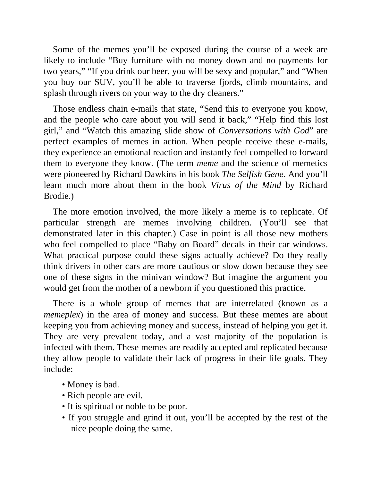Some of the memes you'll be exposed during the course of a week are likely to include "Buy furniture with no money down and no payments for two years," "If you drink our beer, you will be sexy and popular," and "When you buy our SUV, you'll be able to traverse fjords, climb mountains, and splash through rivers on your way to the dry cleaners."

Those endless chain e-mails that state, "Send this to everyone you know, and the people who care about you will send it back," "Help find this lost girl," and "Watch this amazing slide show of *Conversations with God*" are perfect examples of memes in action. When people receive these e-mails, they experience an emotional reaction and instantly feel compelled to forward them to everyone they know. (The term *meme* and the science of memetics were pioneered by Richard Dawkins in his book *The Selfish Gene*. And you'll learn much more about them in the book *Virus of the Mind* by Richard Brodie.)

The more emotion involved, the more likely a meme is to replicate. Of particular strength are memes involving children. (You'll see that demonstrated later in this chapter.) Case in point is all those new mothers who feel compelled to place "Baby on Board" decals in their car windows. What practical purpose could these signs actually achieve? Do they really think drivers in other cars are more cautious or slow down because they see one of these signs in the minivan window? But imagine the argument you would get from the mother of a newborn if you questioned this practice.

There is a whole group of memes that are interrelated (known as a *memeplex*) in the area of money and success. But these memes are about keeping you from achieving money and success, instead of helping you get it. They are very prevalent today, and a vast majority of the population is infected with them. These memes are readily accepted and replicated because they allow people to validate their lack of progress in their life goals. They include:

- Money is bad.
- Rich people are evil.
- It is spiritual or noble to be poor.
- If you struggle and grind it out, you'll be accepted by the rest of the nice people doing the same.